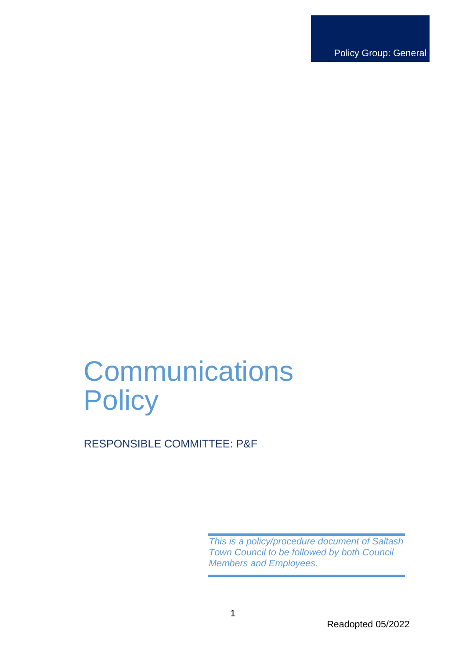Policy Group: General

# **Communications Policy**

RESPONSIBLE COMMITTEE: P&F

*This is a policy/procedure document of Saltash Town Council to be followed by both Council Members and Employees.*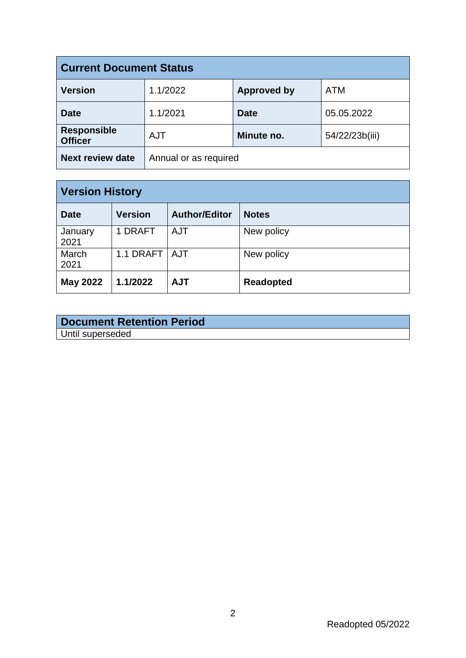| <b>Current Document Status</b>       |                       |                    |                |  |
|--------------------------------------|-----------------------|--------------------|----------------|--|
| <b>Version</b>                       | 1.1/2022              | <b>Approved by</b> | <b>ATM</b>     |  |
| <b>Date</b>                          | 1.1/2021              | <b>Date</b>        | 05.05.2022     |  |
| <b>Responsible</b><br><b>Officer</b> | <b>AJT</b>            | Minute no.         | 54/22/23b(iii) |  |
| <b>Next review date</b>              | Annual or as required |                    |                |  |

| <b>Version History</b> |                 |                      |                  |  |
|------------------------|-----------------|----------------------|------------------|--|
| <b>Date</b>            | <b>Version</b>  | <b>Author/Editor</b> | <b>Notes</b>     |  |
| January<br>2021        | 1 DRAFT         | AJT                  | New policy       |  |
| March<br>2021          | 1.1 DRAFT   AJT |                      | New policy       |  |
| <b>May 2022</b>        | 1.1/2022        | <b>AJT</b>           | <b>Readopted</b> |  |

# **Document Retention Period** Until superseded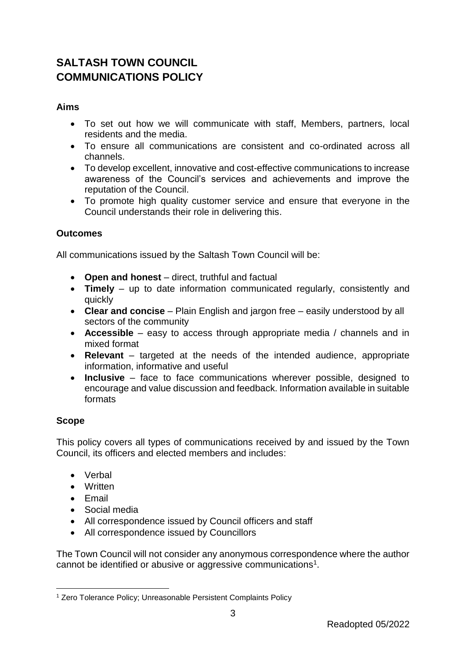# **SALTASH TOWN COUNCIL COMMUNICATIONS POLICY**

## **Aims**

- To set out how we will communicate with staff, Members, partners, local residents and the media.
- To ensure all communications are consistent and co-ordinated across all channels.
- To develop excellent, innovative and cost-effective communications to increase awareness of the Council's services and achievements and improve the reputation of the Council.
- To promote high quality customer service and ensure that everyone in the Council understands their role in delivering this.

#### **Outcomes**

All communications issued by the Saltash Town Council will be:

- **Open and honest**  direct, truthful and factual
- **Timely**  up to date information communicated regularly, consistently and quickly
- **Clear and concise**  Plain English and jargon free easily understood by all sectors of the community
- **Accessible**  easy to access through appropriate media / channels and in mixed format
- **Relevant**  targeted at the needs of the intended audience, appropriate information, informative and useful
- **Inclusive**  face to face communications wherever possible, designed to encourage and value discussion and feedback. Information available in suitable formats

#### **Scope**

This policy covers all types of communications received by and issued by the Town Council, its officers and elected members and includes:

- Verbal
- Written
- Email
- Social media
- All correspondence issued by Council officers and staff
- All correspondence issued by Councillors

The Town Council will not consider any anonymous correspondence where the author cannot be identified or abusive or aggressive communications<sup>1</sup>.

<sup>1</sup> <sup>1</sup> Zero Tolerance Policy; Unreasonable Persistent Complaints Policy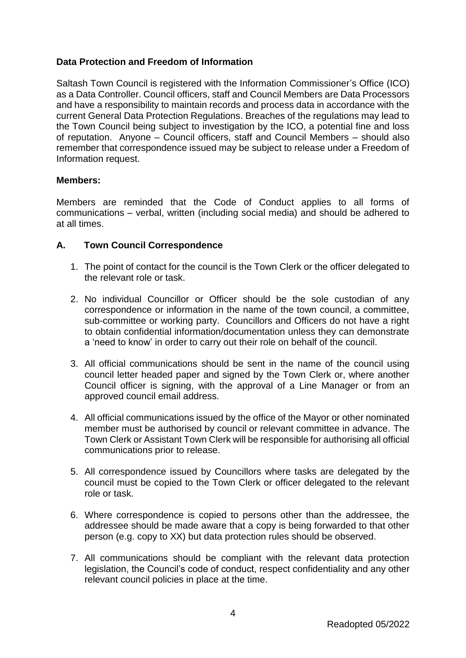## **Data Protection and Freedom of Information**

Saltash Town Council is registered with the Information Commissioner's Office (ICO) as a Data Controller. Council officers, staff and Council Members are Data Processors and have a responsibility to maintain records and process data in accordance with the current General Data Protection Regulations. Breaches of the regulations may lead to the Town Council being subject to investigation by the ICO, a potential fine and loss of reputation. Anyone – Council officers, staff and Council Members – should also remember that correspondence issued may be subject to release under a Freedom of Information request.

#### **Members:**

Members are reminded that the Code of Conduct applies to all forms of communications – verbal, written (including social media) and should be adhered to at all times.

#### **A. Town Council Correspondence**

- 1. The point of contact for the council is the Town Clerk or the officer delegated to the relevant role or task.
- 2. No individual Councillor or Officer should be the sole custodian of any correspondence or information in the name of the town council, a committee, sub-committee or working party. Councillors and Officers do not have a right to obtain confidential information/documentation unless they can demonstrate a 'need to know' in order to carry out their role on behalf of the council.
- 3. All official communications should be sent in the name of the council using council letter headed paper and signed by the Town Clerk or, where another Council officer is signing, with the approval of a Line Manager or from an approved council email address.
- 4. All official communications issued by the office of the Mayor or other nominated member must be authorised by council or relevant committee in advance. The Town Clerk or Assistant Town Clerk will be responsible for authorising all official communications prior to release.
- 5. All correspondence issued by Councillors where tasks are delegated by the council must be copied to the Town Clerk or officer delegated to the relevant role or task.
- 6. Where correspondence is copied to persons other than the addressee, the addressee should be made aware that a copy is being forwarded to that other person (e.g. copy to XX) but data protection rules should be observed.
- 7. All communications should be compliant with the relevant data protection legislation, the Council's code of conduct, respect confidentiality and any other relevant council policies in place at the time.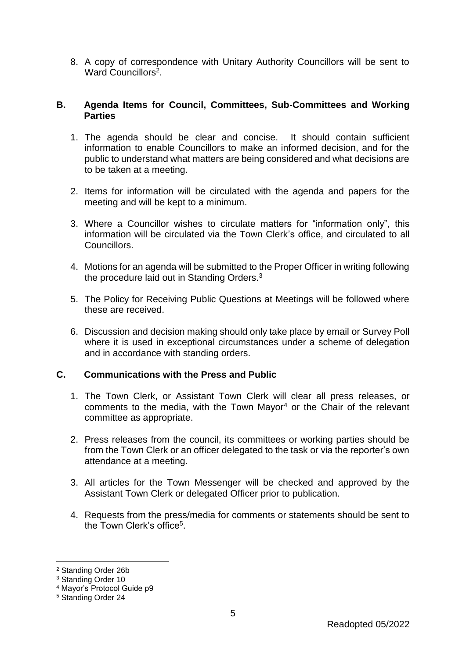8. A copy of correspondence with Unitary Authority Councillors will be sent to Ward Councillors<sup>2</sup>.

#### **B. Agenda Items for Council, Committees, Sub-Committees and Working Parties**

- 1. The agenda should be clear and concise. It should contain sufficient information to enable Councillors to make an informed decision, and for the public to understand what matters are being considered and what decisions are to be taken at a meeting.
- 2. Items for information will be circulated with the agenda and papers for the meeting and will be kept to a minimum.
- 3. Where a Councillor wishes to circulate matters for "information only", this information will be circulated via the Town Clerk's office, and circulated to all Councillors.
- 4. Motions for an agenda will be submitted to the Proper Officer in writing following the procedure laid out in Standing Orders.<sup>3</sup>
- 5. The Policy for Receiving Public Questions at Meetings will be followed where these are received.
- 6. Discussion and decision making should only take place by email or Survey Poll where it is used in exceptional circumstances under a scheme of delegation and in accordance with standing orders.

#### **C. Communications with the Press and Public**

- 1. The Town Clerk, or Assistant Town Clerk will clear all press releases, or comments to the media, with the Town Mayor<sup>4</sup> or the Chair of the relevant committee as appropriate.
- 2. Press releases from the council, its committees or working parties should be from the Town Clerk or an officer delegated to the task or via the reporter's own attendance at a meeting.
- 3. All articles for the Town Messenger will be checked and approved by the Assistant Town Clerk or delegated Officer prior to publication.
- 4. Requests from the press/media for comments or statements should be sent to the Town Clerk's office<sup>5</sup>.

1

<sup>2</sup> Standing Order 26b

<sup>3</sup> Standing Order 10

<sup>4</sup> Mayor's Protocol Guide p9

<sup>5</sup> Standing Order 24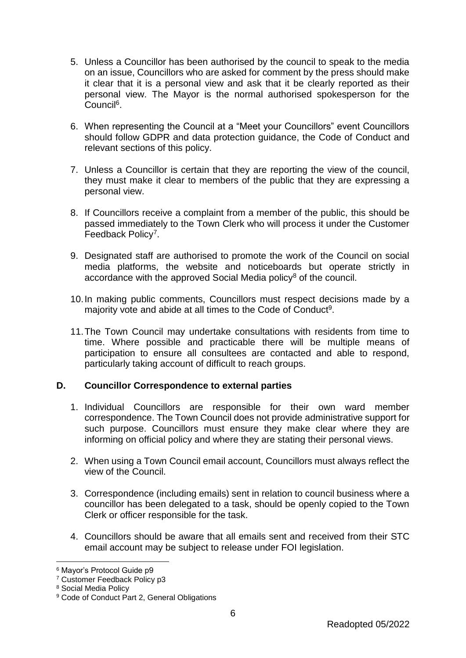- 5. Unless a Councillor has been authorised by the council to speak to the media on an issue, Councillors who are asked for comment by the press should make it clear that it is a personal view and ask that it be clearly reported as their personal view. The Mayor is the normal authorised spokesperson for the Council<sup>6</sup>.
- 6. When representing the Council at a "Meet your Councillors" event Councillors should follow GDPR and data protection guidance, the Code of Conduct and relevant sections of this policy.
- 7. Unless a Councillor is certain that they are reporting the view of the council, they must make it clear to members of the public that they are expressing a personal view.
- 8. If Councillors receive a complaint from a member of the public, this should be passed immediately to the Town Clerk who will process it under the Customer Feedback Policy<sup>7</sup>.
- 9. Designated staff are authorised to promote the work of the Council on social media platforms, the website and noticeboards but operate strictly in accordance with the approved Social Media policy<sup>8</sup> of the council.
- 10.In making public comments, Councillors must respect decisions made by a majority vote and abide at all times to the Code of Conduct<sup>9</sup>.
- 11.The Town Council may undertake consultations with residents from time to time. Where possible and practicable there will be multiple means of participation to ensure all consultees are contacted and able to respond, particularly taking account of difficult to reach groups.

# **D. Councillor Correspondence to external parties**

- 1. Individual Councillors are responsible for their own ward member correspondence. The Town Council does not provide administrative support for such purpose. Councillors must ensure they make clear where they are informing on official policy and where they are stating their personal views.
- 2. When using a Town Council email account, Councillors must always reflect the view of the Council.
- 3. Correspondence (including emails) sent in relation to council business where a councillor has been delegated to a task, should be openly copied to the Town Clerk or officer responsible for the task.
- 4. Councillors should be aware that all emails sent and received from their STC email account may be subject to release under FOI legislation.

1

<sup>6</sup> Mayor's Protocol Guide p9

<sup>7</sup> Customer Feedback Policy p3

<sup>8</sup> Social Media Policy

<sup>&</sup>lt;sup>9</sup> Code of Conduct Part 2, General Obligations